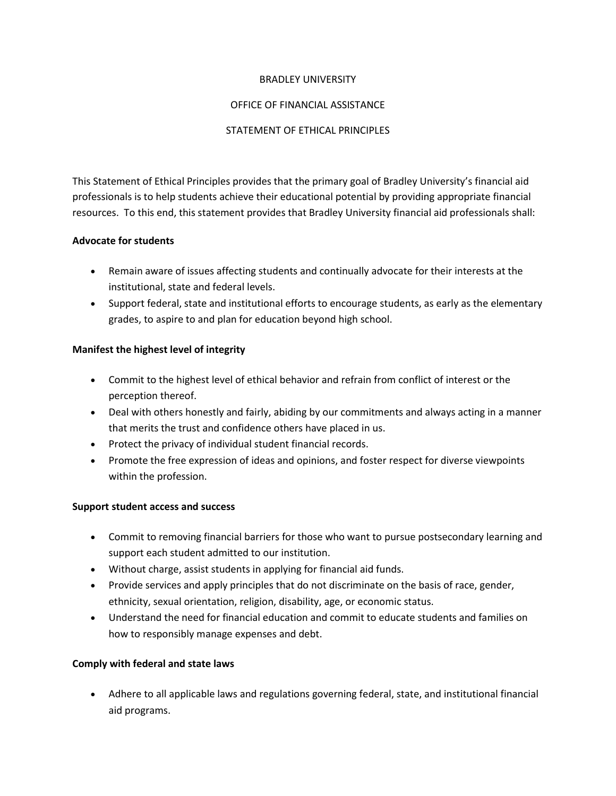#### BRADLEY UNIVERSITY

## OFFICE OF FINANCIAL ASSISTANCE

#### STATEMENT OF ETHICAL PRINCIPLES

This Statement of Ethical Principles provides that the primary goal of Bradley University's financial aid professionals is to help students achieve their educational potential by providing appropriate financial resources. To this end, this statement provides that Bradley University financial aid professionals shall:

## **Advocate for students**

- Remain aware of issues affecting students and continually advocate for their interests at the institutional, state and federal levels.
- Support federal, state and institutional efforts to encourage students, as early as the elementary grades, to aspire to and plan for education beyond high school.

## **Manifest the highest level of integrity**

- Commit to the highest level of ethical behavior and refrain from conflict of interest or the perception thereof.
- Deal with others honestly and fairly, abiding by our commitments and always acting in a manner that merits the trust and confidence others have placed in us.
- Protect the privacy of individual student financial records.
- Promote the free expression of ideas and opinions, and foster respect for diverse viewpoints within the profession.

# **Support student access and success**

- Commit to removing financial barriers for those who want to pursue postsecondary learning and support each student admitted to our institution.
- Without charge, assist students in applying for financial aid funds.
- Provide services and apply principles that do not discriminate on the basis of race, gender, ethnicity, sexual orientation, religion, disability, age, or economic status.
- Understand the need for financial education and commit to educate students and families on how to responsibly manage expenses and debt.

# **Comply with federal and state laws**

 Adhere to all applicable laws and regulations governing federal, state, and institutional financial aid programs.